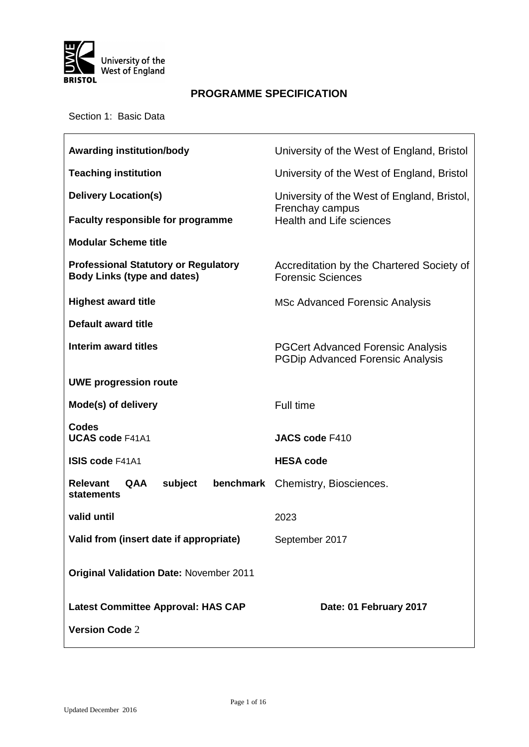

## **PROGRAMME SPECIFICATION**

Section 1: Basic Data

| <b>Awarding institution/body</b>                                                  | University of the West of England, Bristol                                          |  |  |  |
|-----------------------------------------------------------------------------------|-------------------------------------------------------------------------------------|--|--|--|
| <b>Teaching institution</b>                                                       | University of the West of England, Bristol                                          |  |  |  |
| <b>Delivery Location(s)</b>                                                       | University of the West of England, Bristol,                                         |  |  |  |
| <b>Faculty responsible for programme</b>                                          | Frenchay campus<br><b>Health and Life sciences</b>                                  |  |  |  |
| <b>Modular Scheme title</b>                                                       |                                                                                     |  |  |  |
| <b>Professional Statutory or Regulatory</b><br><b>Body Links (type and dates)</b> | Accreditation by the Chartered Society of<br><b>Forensic Sciences</b>               |  |  |  |
| <b>Highest award title</b>                                                        | <b>MSc Advanced Forensic Analysis</b>                                               |  |  |  |
| Default award title                                                               |                                                                                     |  |  |  |
| Interim award titles                                                              | <b>PGCert Advanced Forensic Analysis</b><br><b>PGDip Advanced Forensic Analysis</b> |  |  |  |
| <b>UWE progression route</b>                                                      |                                                                                     |  |  |  |
| Mode(s) of delivery                                                               | Full time                                                                           |  |  |  |
| <b>Codes</b><br><b>UCAS code F41A1</b>                                            | <b>JACS code F410</b>                                                               |  |  |  |
| <b>ISIS code F41A1</b>                                                            | <b>HESA code</b>                                                                    |  |  |  |
| <b>Relevant</b><br><b>QAA</b><br>subject<br>benchmark<br>statements               | Chemistry, Biosciences.                                                             |  |  |  |
| valid until                                                                       | 2023                                                                                |  |  |  |
| Valid from (insert date if appropriate)                                           | September 2017                                                                      |  |  |  |
| <b>Original Validation Date: November 2011</b>                                    |                                                                                     |  |  |  |
| <b>Latest Committee Approval: HAS CAP</b>                                         | Date: 01 February 2017                                                              |  |  |  |
| <b>Version Code 2</b>                                                             |                                                                                     |  |  |  |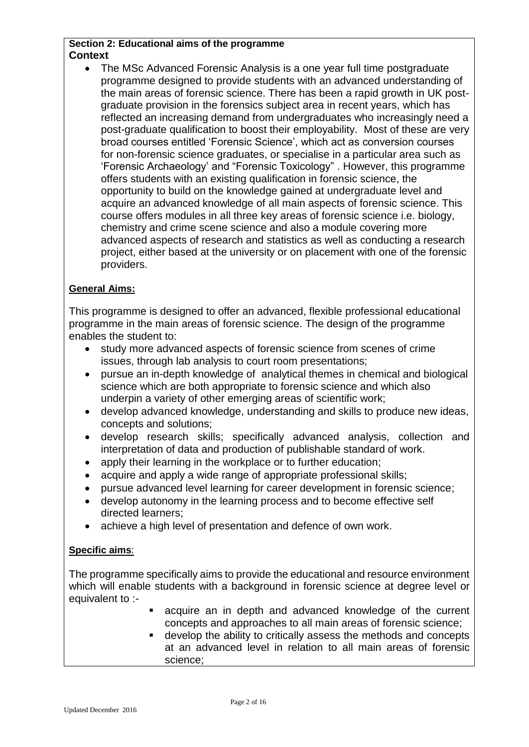#### **Section 2: Educational aims of the programme Context**

• The MSc Advanced Forensic Analysis is a one year full time postgraduate programme designed to provide students with an advanced understanding of the main areas of forensic science. There has been a rapid growth in UK postgraduate provision in the forensics subject area in recent years, which has reflected an increasing demand from undergraduates who increasingly need a post-graduate qualification to boost their employability. Most of these are very broad courses entitled 'Forensic Science', which act as conversion courses for non-forensic science graduates, or specialise in a particular area such as 'Forensic Archaeology' and "Forensic Toxicology" . However, this programme offers students with an existing qualification in forensic science, the opportunity to build on the knowledge gained at undergraduate level and acquire an advanced knowledge of all main aspects of forensic science. This course offers modules in all three key areas of forensic science i.e. biology, chemistry and crime scene science and also a module covering more advanced aspects of research and statistics as well as conducting a research project, either based at the university or on placement with one of the forensic providers.

### **General Aims:**

This programme is designed to offer an advanced, flexible professional educational programme in the main areas of forensic science. The design of the programme enables the student to:

- study more advanced aspects of forensic science from scenes of crime issues, through lab analysis to court room presentations;
- pursue an in-depth knowledge of analytical themes in chemical and biological science which are both appropriate to forensic science and which also underpin a variety of other emerging areas of scientific work;
- develop advanced knowledge, understanding and skills to produce new ideas, concepts and solutions;
- develop research skills; specifically advanced analysis, collection and interpretation of data and production of publishable standard of work.
- apply their learning in the workplace or to further education;
- acquire and apply a wide range of appropriate professional skills;
- pursue advanced level learning for career development in forensic science;
- develop autonomy in the learning process and to become effective self directed learners;
- achieve a high level of presentation and defence of own work.

#### **Specific aims**:

The programme specifically aims to provide the educational and resource environment which will enable students with a background in forensic science at degree level or equivalent to :-

- acquire an in depth and advanced knowledge of the current concepts and approaches to all main areas of forensic science;
- develop the ability to critically assess the methods and concepts at an advanced level in relation to all main areas of forensic science;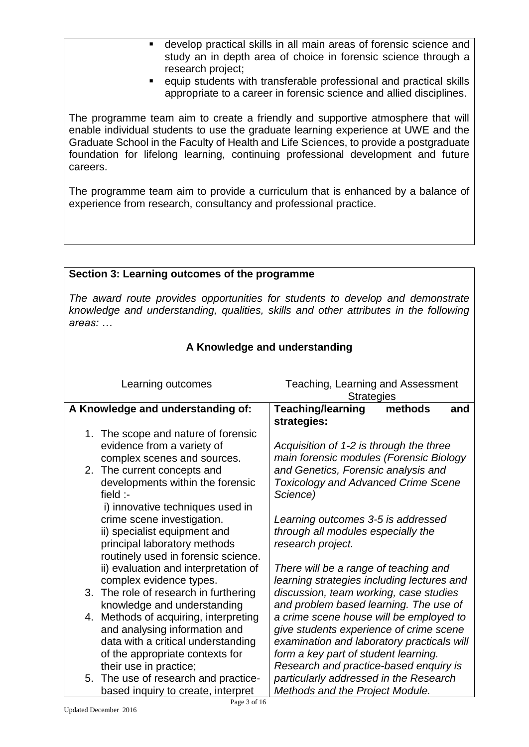- develop practical skills in all main areas of forensic science and study an in depth area of choice in forensic science through a research project;
- equip students with transferable professional and practical skills appropriate to a career in forensic science and allied disciplines.

The programme team aim to create a friendly and supportive atmosphere that will enable individual students to use the graduate learning experience at UWE and the Graduate School in the Faculty of Health and Life Sciences, to provide a postgraduate foundation for lifelong learning, continuing professional development and future careers.

The programme team aim to provide a curriculum that is enhanced by a balance of experience from research, consultancy and professional practice.

# **Section 3: Learning outcomes of the programme** *The award route provides opportunities for students to develop and demonstrate knowledge and understanding, qualities, skills and other attributes in the following areas: …*

| A Knowledge and understanding                                   |                                                                                     |  |  |  |  |
|-----------------------------------------------------------------|-------------------------------------------------------------------------------------|--|--|--|--|
|                                                                 |                                                                                     |  |  |  |  |
| Learning outcomes                                               | Teaching, Learning and Assessment<br><b>Strategies</b>                              |  |  |  |  |
| A Knowledge and understanding of:                               | <b>Teaching/learning</b><br>methods<br>and                                          |  |  |  |  |
|                                                                 | strategies:                                                                         |  |  |  |  |
| The scope and nature of forensic<br>1.                          |                                                                                     |  |  |  |  |
| evidence from a variety of                                      | Acquisition of 1-2 is through the three                                             |  |  |  |  |
| complex scenes and sources.                                     | main forensic modules (Forensic Biology                                             |  |  |  |  |
| 2. The current concepts and                                     | and Genetics, Forensic analysis and                                                 |  |  |  |  |
| developments within the forensic                                | <b>Toxicology and Advanced Crime Scene</b>                                          |  |  |  |  |
| field $\cdot$ -                                                 | Science)                                                                            |  |  |  |  |
| i) innovative techniques used in                                |                                                                                     |  |  |  |  |
| crime scene investigation.                                      | Learning outcomes 3-5 is addressed                                                  |  |  |  |  |
| ii) specialist equipment and                                    | through all modules especially the                                                  |  |  |  |  |
| principal laboratory methods                                    | research project.                                                                   |  |  |  |  |
| routinely used in forensic science.                             |                                                                                     |  |  |  |  |
| ii) evaluation and interpretation of<br>complex evidence types. | There will be a range of teaching and<br>learning strategies including lectures and |  |  |  |  |
| 3. The role of research in furthering                           | discussion, team working, case studies                                              |  |  |  |  |
| knowledge and understanding                                     | and problem based learning. The use of                                              |  |  |  |  |
| 4. Methods of acquiring, interpreting                           | a crime scene house will be employed to                                             |  |  |  |  |
| and analysing information and                                   | give students experience of crime scene                                             |  |  |  |  |
| data with a critical understanding                              | examination and laboratory practicals will                                          |  |  |  |  |
| of the appropriate contexts for                                 | form a key part of student learning.                                                |  |  |  |  |
| their use in practice;                                          | Research and practice-based enquiry is                                              |  |  |  |  |
| The use of research and practice-<br>5.                         | particularly addressed in the Research                                              |  |  |  |  |
| based inquiry to create, interpret                              | Methods and the Project Module.                                                     |  |  |  |  |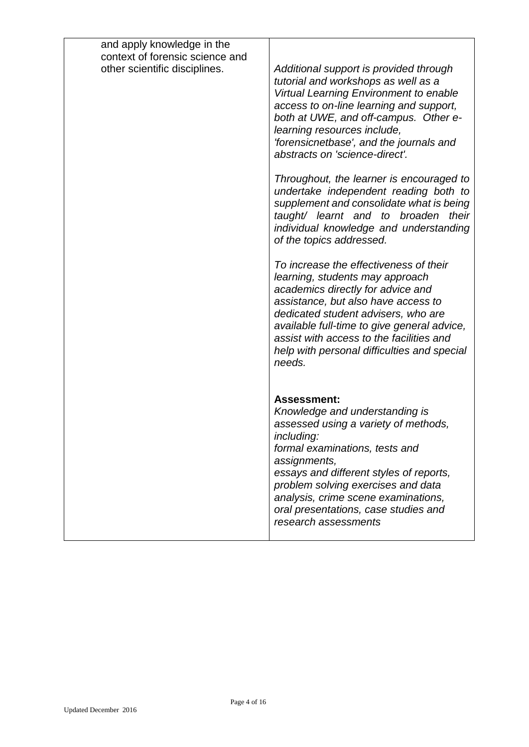| and apply knowledge in the<br>context of forensic science and<br>other scientific disciplines. | Additional support is provided through<br>tutorial and workshops as well as a<br><b>Virtual Learning Environment to enable</b><br>access to on-line learning and support,<br>both at UWE, and off-campus. Other e-<br>learning resources include,                                                      |
|------------------------------------------------------------------------------------------------|--------------------------------------------------------------------------------------------------------------------------------------------------------------------------------------------------------------------------------------------------------------------------------------------------------|
|                                                                                                | 'forensicnetbase', and the journals and<br>abstracts on 'science-direct'.<br>Throughout, the learner is encouraged to<br>undertake independent reading both to<br>supplement and consolidate what is being                                                                                             |
|                                                                                                | taught/ learnt and to broaden<br>their<br>individual knowledge and understanding<br>of the topics addressed.<br>To increase the effectiveness of their                                                                                                                                                 |
|                                                                                                | learning, students may approach<br>academics directly for advice and<br>assistance, but also have access to<br>dedicated student advisers, who are<br>available full-time to give general advice,<br>assist with access to the facilities and<br>help with personal difficulties and special<br>needs. |
|                                                                                                | <b>Assessment:</b><br>Knowledge and understanding is<br>assessed using a variety of methods,<br>including:                                                                                                                                                                                             |
|                                                                                                | formal examinations, tests and<br>assignments,<br>essays and different styles of reports,<br>problem solving exercises and data<br>analysis, crime scene examinations,<br>oral presentations, case studies and<br>research assessments                                                                 |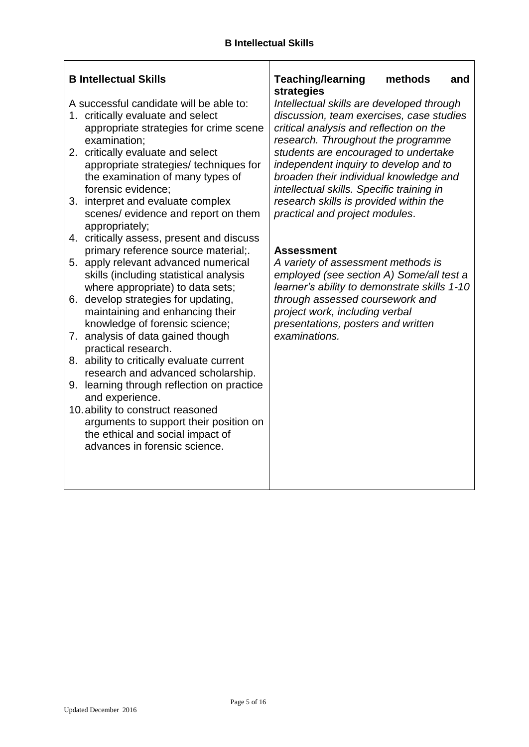| <b>B Intellectual Skills</b><br>A successful candidate will be able to:<br>1. critically evaluate and select<br>appropriate strategies for crime scene<br>examination;<br>2. critically evaluate and select<br>appropriate strategies/ techniques for<br>the examination of many types of<br>forensic evidence;<br>3. interpret and evaluate complex                                                                                                                                                                                                                                                                                                                                                                                            | <b>Teaching/learning</b><br>methods<br>and<br>strategies<br>Intellectual skills are developed through<br>discussion, team exercises, case studies<br>critical analysis and reflection on the<br>research. Throughout the programme<br>students are encouraged to undertake<br>independent inquiry to develop and to<br>broaden their individual knowledge and<br>intellectual skills. Specific training in<br>research skills is provided within the |
|-------------------------------------------------------------------------------------------------------------------------------------------------------------------------------------------------------------------------------------------------------------------------------------------------------------------------------------------------------------------------------------------------------------------------------------------------------------------------------------------------------------------------------------------------------------------------------------------------------------------------------------------------------------------------------------------------------------------------------------------------|------------------------------------------------------------------------------------------------------------------------------------------------------------------------------------------------------------------------------------------------------------------------------------------------------------------------------------------------------------------------------------------------------------------------------------------------------|
| scenes/ evidence and report on them<br>appropriately;<br>4. critically assess, present and discuss<br>primary reference source material;.<br>5. apply relevant advanced numerical<br>skills (including statistical analysis<br>where appropriate) to data sets;<br>6. develop strategies for updating,<br>maintaining and enhancing their<br>knowledge of forensic science;<br>7. analysis of data gained though<br>practical research.<br>8. ability to critically evaluate current<br>research and advanced scholarship.<br>9. learning through reflection on practice<br>and experience.<br>10. ability to construct reasoned<br>arguments to support their position on<br>the ethical and social impact of<br>advances in forensic science. | practical and project modules.<br><b>Assessment</b><br>A variety of assessment methods is<br>employed (see section A) Some/all test a<br>learner's ability to demonstrate skills 1-10<br>through assessed coursework and<br>project work, including verbal<br>presentations, posters and written<br>examinations.                                                                                                                                    |

 $\mathbf{r}$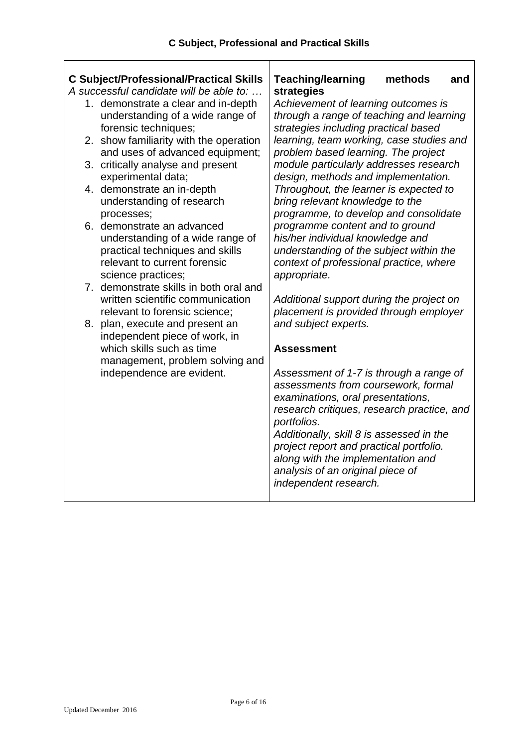# **C Subject/Professional/Practical Skills**

*A successful candidate will be able to: …*

- 1. demonstrate a clear and in-depth understanding of a wide range of forensic techniques;
- 2. show familiarity with the operation and uses of advanced equipment;
- 3. critically analyse and present experimental data;
- 4. demonstrate an in-depth understanding of research processes;
- 6. demonstrate an advanced understanding of a wide range of practical techniques and skills relevant to current forensic science practices;
- 7. demonstrate skills in both oral and written scientific communication relevant to forensic science;
- 8. plan, execute and present an independent piece of work, in which skills such as time management, problem solving and independence are evident.

#### **Teaching/learning methods and strategies**

*Achievement of learning outcomes is through a range of teaching and learning strategies including practical based learning, team working, case studies and problem based learning. The project module particularly addresses research design, methods and implementation. Throughout, the learner is expected to bring relevant knowledge to the programme, to develop and consolidate programme content and to ground his/her individual knowledge and understanding of the subject within the context of professional practice, where appropriate.*

*Additional support during the project on placement is provided through employer and subject experts.*

#### **Assessment**

*Assessment of 1-7 is through a range of assessments from coursework, formal examinations, oral presentations, research critiques, research practice, and portfolios.*

*Additionally, skill 8 is assessed in the project report and practical portfolio. along with the implementation and analysis of an original piece of independent research.*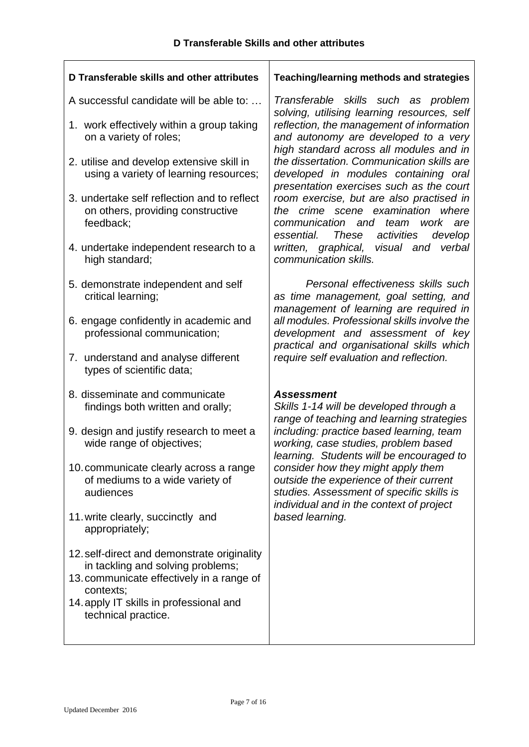| D Transferable skills and other attributes                                                                                                 | Teaching/learning methods and strategies                                                                                                                                      |  |  |  |
|--------------------------------------------------------------------------------------------------------------------------------------------|-------------------------------------------------------------------------------------------------------------------------------------------------------------------------------|--|--|--|
| A successful candidate will be able to:<br>1. work effectively within a group taking<br>on a variety of roles;                             | Transferable skills such as problem<br>solving, utilising learning resources, self<br>reflection, the management of information<br>and autonomy are developed to a very       |  |  |  |
| 2. utilise and develop extensive skill in<br>using a variety of learning resources;                                                        | high standard across all modules and in<br>the dissertation. Communication skills are<br>developed in modules containing oral<br>presentation exercises such as the court     |  |  |  |
| 3. undertake self reflection and to reflect<br>on others, providing constructive<br>feedback;                                              | room exercise, but are also practised in<br>the crime scene examination<br>where<br>communication and<br>team work are<br><b>These</b><br>activities<br>essential.<br>develop |  |  |  |
| 4. undertake independent research to a<br>high standard;                                                                                   | written, graphical, visual and<br>verbal<br>communication skills.                                                                                                             |  |  |  |
| 5. demonstrate independent and self<br>critical learning;                                                                                  | Personal effectiveness skills such<br>as time management, goal setting, and<br>management of learning are required in                                                         |  |  |  |
| 6. engage confidently in academic and<br>professional communication;                                                                       | all modules. Professional skills involve the<br>development and assessment of key<br>practical and organisational skills which                                                |  |  |  |
| 7. understand and analyse different<br>types of scientific data;                                                                           | require self evaluation and reflection.                                                                                                                                       |  |  |  |
| 8. disseminate and communicate<br>findings both written and orally;                                                                        | <b>Assessment</b><br>Skills 1-14 will be developed through a<br>range of teaching and learning strategies                                                                     |  |  |  |
| 9. design and justify research to meet a<br>wide range of objectives;                                                                      | including: practice based learning, team<br>working, case studies, problem based<br>learning. Students will be encouraged to                                                  |  |  |  |
| 10. communicate clearly across a range<br>of mediums to a wide variety of<br>audiences                                                     | consider how they might apply them<br>outside the experience of their current<br>studies. Assessment of specific skills is<br>individual and in the context of project        |  |  |  |
| 11. write clearly, succinctly and<br>appropriately;                                                                                        | based learning.                                                                                                                                                               |  |  |  |
| 12. self-direct and demonstrate originality<br>in tackling and solving problems;<br>13. communicate effectively in a range of<br>contexts; |                                                                                                                                                                               |  |  |  |
| 14. apply IT skills in professional and<br>technical practice.                                                                             |                                                                                                                                                                               |  |  |  |

 $\mathbf{r}$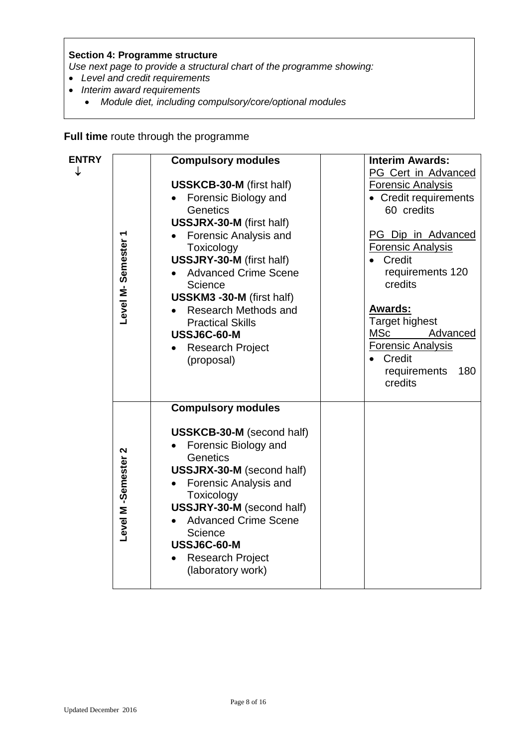#### **Section 4: Programme structure**

*Use next page to provide a structural chart of the programme showing:*

- *Level and credit requirements*
- *Interim award requirements*
	- *Module diet, including compulsory/core/optional modules*

**Full time** route through the programme

| <b>ENTRY</b> |                       | <b>Compulsory modules</b>                                                                                                                                                                                                                                                                                                 | <b>Interim Awards:</b><br><b>PG Cert in Advanced</b>                                                                                                                                                                                |
|--------------|-----------------------|---------------------------------------------------------------------------------------------------------------------------------------------------------------------------------------------------------------------------------------------------------------------------------------------------------------------------|-------------------------------------------------------------------------------------------------------------------------------------------------------------------------------------------------------------------------------------|
|              |                       | <b>USSKCB-30-M</b> (first half)<br>Forensic Biology and<br>Genetics<br>USSJRX-30-M (first half)                                                                                                                                                                                                                           | <b>Forensic Analysis</b><br>• Credit requirements<br>60 credits                                                                                                                                                                     |
|              | Level M-Semester 1    | Forensic Analysis and<br>Toxicology<br>USSJRY-30-M (first half)<br><b>Advanced Crime Scene</b><br>Science<br>USSKM3 -30-M (first half)<br><b>Research Methods and</b><br><b>Practical Skills</b><br>USSJ6C-60-M<br><b>Research Project</b><br>(proposal)                                                                  | PG Dip in Advanced<br><b>Forensic Analysis</b><br>Credit<br>requirements 120<br>credits<br><b>Awards:</b><br>Target highest<br>MSc<br>Advanced<br><b>Forensic Analysis</b><br>Credit<br>$\bullet$<br>requirements<br>180<br>credits |
|              | 2<br>Level M-Semester | <b>Compulsory modules</b><br><b>USSKCB-30-M</b> (second half)<br>Forensic Biology and<br>Genetics<br><b>USSJRX-30-M</b> (second half)<br>Forensic Analysis and<br>Toxicology<br><b>USSJRY-30-M</b> (second half)<br><b>Advanced Crime Scene</b><br>Science<br>USSJ6C-60-M<br><b>Research Project</b><br>(laboratory work) |                                                                                                                                                                                                                                     |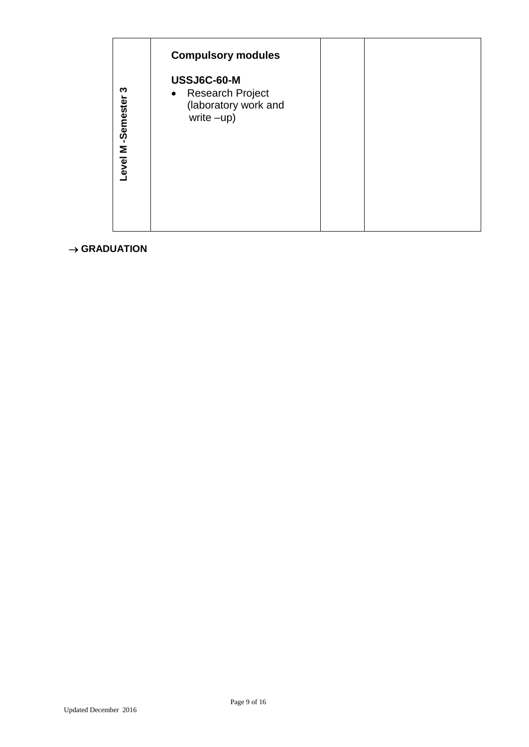|                          | Level M-Semester 3 | <b>Compulsory modules</b><br>USSJ6C-60-M<br>$\bullet$ | Research Project<br>(laboratory work and<br>write –up) |  |  |
|--------------------------|--------------------|-------------------------------------------------------|--------------------------------------------------------|--|--|
| $\rightarrow$ GRADUATION |                    |                                                       |                                                        |  |  |
|                          |                    |                                                       |                                                        |  |  |
|                          |                    |                                                       |                                                        |  |  |
|                          |                    |                                                       |                                                        |  |  |
|                          |                    |                                                       |                                                        |  |  |
|                          |                    |                                                       |                                                        |  |  |
|                          |                    |                                                       |                                                        |  |  |
|                          |                    |                                                       |                                                        |  |  |
|                          |                    |                                                       |                                                        |  |  |
|                          |                    |                                                       |                                                        |  |  |
|                          |                    |                                                       |                                                        |  |  |
|                          |                    |                                                       |                                                        |  |  |
| Updated December 2016    |                    |                                                       | Page 9 of $16\,$                                       |  |  |

## $\rightarrow$  GRADUATION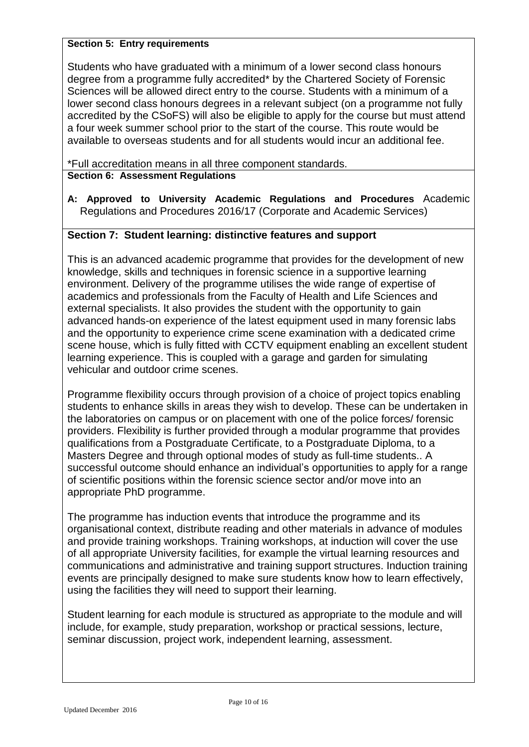#### **Section 5: Entry requirements**

Students who have graduated with a minimum of a lower second class honours degree from a programme fully accredited\* by the Chartered Society of Forensic Sciences will be allowed direct entry to the course. Students with a minimum of a lower second class honours degrees in a relevant subject (on a programme not fully accredited by the CSoFS) will also be eligible to apply for the course but must attend a four week summer school prior to the start of the course. This route would be available to overseas students and for all students would incur an additional fee.

\*Full accreditation means in all three component standards. **Section 6: Assessment Regulations**

**A: Approved to University Academic Regulations and Procedures** Academic Regulations and Procedures 2016/17 (Corporate and Academic Services)

### **Section 7: Student learning: distinctive features and support**

This is an advanced academic programme that provides for the development of new knowledge, skills and techniques in forensic science in a supportive learning environment. Delivery of the programme utilises the wide range of expertise of academics and professionals from the Faculty of Health and Life Sciences and external specialists. It also provides the student with the opportunity to gain advanced hands-on experience of the latest equipment used in many forensic labs and the opportunity to experience crime scene examination with a dedicated crime scene house, which is fully fitted with CCTV equipment enabling an excellent student learning experience. This is coupled with a garage and garden for simulating vehicular and outdoor crime scenes.

Programme flexibility occurs through provision of a choice of project topics enabling students to enhance skills in areas they wish to develop. These can be undertaken in the laboratories on campus or on placement with one of the police forces/ forensic providers. Flexibility is further provided through a modular programme that provides qualifications from a Postgraduate Certificate, to a Postgraduate Diploma, to a Masters Degree and through optional modes of study as full-time students.. A successful outcome should enhance an individual's opportunities to apply for a range of scientific positions within the forensic science sector and/or move into an appropriate PhD programme.

The programme has induction events that introduce the programme and its organisational context, distribute reading and other materials in advance of modules and provide training workshops. Training workshops, at induction will cover the use of all appropriate University facilities, for example the virtual learning resources and communications and administrative and training support structures. Induction training events are principally designed to make sure students know how to learn effectively, using the facilities they will need to support their learning.

Student learning for each module is structured as appropriate to the module and will include, for example, study preparation, workshop or practical sessions, lecture, seminar discussion, project work, independent learning, assessment.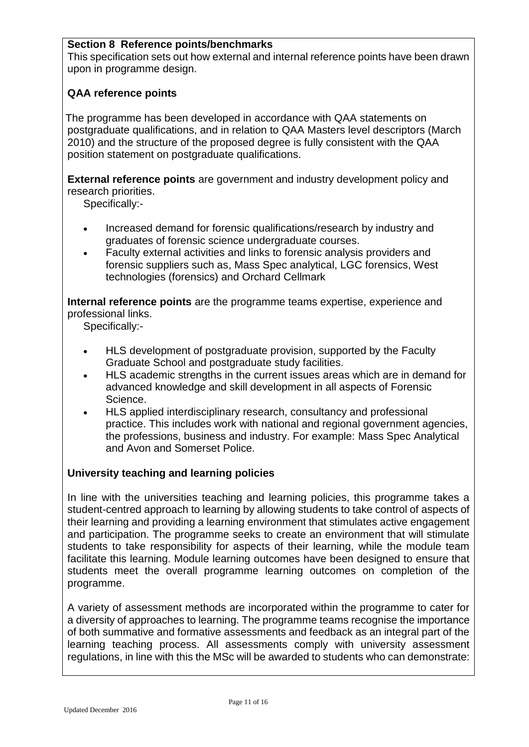## **Section 8 Reference points/benchmarks**

This specification sets out how external and internal reference points have been drawn upon in programme design.

#### **QAA reference points**

The programme has been developed in accordance with QAA statements on postgraduate qualifications, and in relation to QAA Masters level descriptors (March 2010) and the structure of the proposed degree is fully consistent with the QAA position statement on postgraduate qualifications.

**External reference points** are government and industry development policy and research priorities.

Specifically:-

- Increased demand for forensic qualifications/research by industry and graduates of forensic science undergraduate courses.
- Faculty external activities and links to forensic analysis providers and forensic suppliers such as, Mass Spec analytical, LGC forensics, West technologies (forensics) and Orchard Cellmark

**Internal reference points** are the programme teams expertise, experience and professional links.

Specifically:-

- HLS development of postgraduate provision, supported by the Faculty Graduate School and postgraduate study facilities.
- HLS academic strengths in the current issues areas which are in demand for advanced knowledge and skill development in all aspects of Forensic Science.
- HLS applied interdisciplinary research, consultancy and professional practice. This includes work with national and regional government agencies, the professions, business and industry. For example: Mass Spec Analytical and Avon and Somerset Police.

#### **University teaching and learning policies**

In line with the universities teaching and learning policies, this programme takes a student-centred approach to learning by allowing students to take control of aspects of their learning and providing a learning environment that stimulates active engagement and participation. The programme seeks to create an environment that will stimulate students to take responsibility for aspects of their learning, while the module team facilitate this learning. Module learning outcomes have been designed to ensure that students meet the overall programme learning outcomes on completion of the programme.

A variety of assessment methods are incorporated within the programme to cater for a diversity of approaches to learning. The programme teams recognise the importance of both summative and formative assessments and feedback as an integral part of the learning teaching process. All assessments comply with university assessment regulations, in line with this the MSc will be awarded to students who can demonstrate: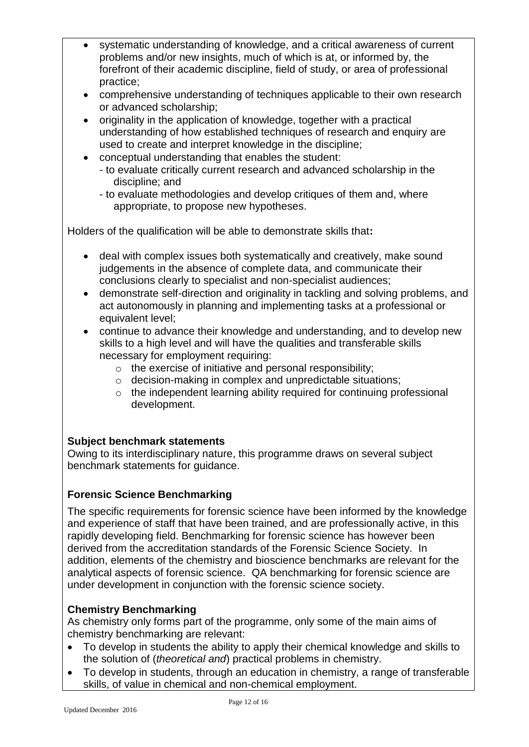- systematic understanding of knowledge, and a critical awareness of current problems and/or new insights, much of which is at, or informed by, the forefront of their academic discipline, field of study, or area of professional practice;
- comprehensive understanding of techniques applicable to their own research or advanced scholarship;
- originality in the application of knowledge, together with a practical understanding of how established techniques of research and enquiry are used to create and interpret knowledge in the discipline;
- conceptual understanding that enables the student:
	- to evaluate critically current research and advanced scholarship in the discipline; and
	- to evaluate methodologies and develop critiques of them and, where appropriate, to propose new hypotheses.

Holders of the qualification will be able to demonstrate skills that**:**

- deal with complex issues both systematically and creatively, make sound judgements in the absence of complete data, and communicate their conclusions clearly to specialist and non-specialist audiences;
- demonstrate self-direction and originality in tackling and solving problems, and act autonomously in planning and implementing tasks at a professional or equivalent level;
- continue to advance their knowledge and understanding, and to develop new skills to a high level and will have the qualities and transferable skills necessary for employment requiring:
	- o the exercise of initiative and personal responsibility;
	- o decision-making in complex and unpredictable situations;
	- o the independent learning ability required for continuing professional development.

## **Subject benchmark statements**

Owing to its interdisciplinary nature, this programme draws on several subject benchmark statements for guidance.

## **Forensic Science Benchmarking**

The specific requirements for forensic science have been informed by the knowledge and experience of staff that have been trained, and are professionally active, in this rapidly developing field. Benchmarking for forensic science has however been derived from the accreditation standards of the Forensic Science Society. In addition, elements of the chemistry and bioscience benchmarks are relevant for the analytical aspects of forensic science. QA benchmarking for forensic science are under development in conjunction with the forensic science society.

## **Chemistry Benchmarking**

As chemistry only forms part of the programme, only some of the main aims of chemistry benchmarking are relevant:

- To develop in students the ability to apply their chemical knowledge and skills to the solution of (*theoretical and*) practical problems in chemistry.
- To develop in students, through an education in chemistry, a range of transferable skills, of value in chemical and non-chemical employment.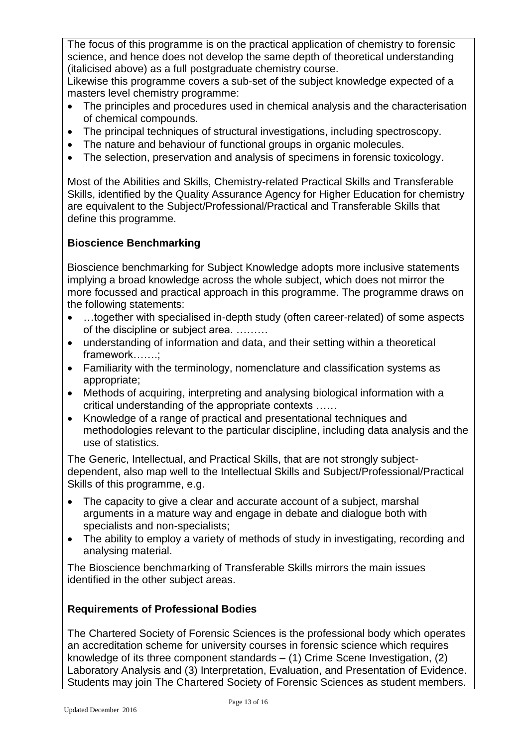The focus of this programme is on the practical application of chemistry to forensic science, and hence does not develop the same depth of theoretical understanding (italicised above) as a full postgraduate chemistry course.

Likewise this programme covers a sub-set of the subject knowledge expected of a masters level chemistry programme:

- The principles and procedures used in chemical analysis and the characterisation of chemical compounds.
- The principal techniques of structural investigations, including spectroscopy.
- The nature and behaviour of functional groups in organic molecules.
- The selection, preservation and analysis of specimens in forensic toxicology.

Most of the Abilities and Skills, Chemistry-related Practical Skills and Transferable Skills, identified by the Quality Assurance Agency for Higher Education for chemistry are equivalent to the Subject/Professional/Practical and Transferable Skills that define this programme.

# **Bioscience Benchmarking**

Bioscience benchmarking for Subject Knowledge adopts more inclusive statements implying a broad knowledge across the whole subject, which does not mirror the more focussed and practical approach in this programme. The programme draws on the following statements:

- ...together with specialised in-depth study (often career-related) of some aspects of the discipline or subject area. ………
- understanding of information and data, and their setting within a theoretical framework…….;
- Familiarity with the terminology, nomenclature and classification systems as appropriate;
- Methods of acquiring, interpreting and analysing biological information with a critical understanding of the appropriate contexts ……
- Knowledge of a range of practical and presentational techniques and methodologies relevant to the particular discipline, including data analysis and the use of statistics.

The Generic, Intellectual, and Practical Skills, that are not strongly subjectdependent, also map well to the Intellectual Skills and Subject/Professional/Practical Skills of this programme, e.g.

- The capacity to give a clear and accurate account of a subject, marshal arguments in a mature way and engage in debate and dialogue both with specialists and non-specialists;
- The ability to employ a variety of methods of study in investigating, recording and analysing material.

The Bioscience benchmarking of Transferable Skills mirrors the main issues identified in the other subject areas.

## **Requirements of Professional Bodies**

The Chartered Society of Forensic Sciences is the professional body which operates an accreditation scheme for university courses in forensic science which requires knowledge of its three component standards – (1) Crime Scene Investigation, (2) Laboratory Analysis and (3) Interpretation, Evaluation, and Presentation of Evidence. Students may join The Chartered Society of Forensic Sciences as student members.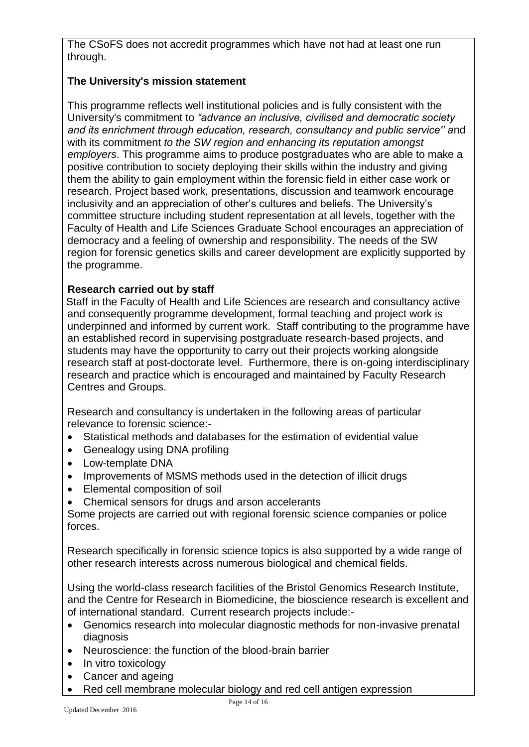The CSoFS does not accredit programmes which have not had at least one run through.

## **The University's mission statement**

This programme reflects well institutional policies and is fully consistent with the University's commitment to *"advance an inclusive, civilised and democratic society and its enrichment through education, research, consultancy and public service'' a*nd with its commitment *to the SW region and enhancing its reputation amongst employers*. This programme aims to produce postgraduates who are able to make a positive contribution to society deploying their skills within the industry and giving them the ability to gain employment within the forensic field in either case work or research. Project based work, presentations, discussion and teamwork encourage inclusivity and an appreciation of other's cultures and beliefs. The University's committee structure including student representation at all levels, together with the Faculty of Health and Life Sciences Graduate School encourages an appreciation of democracy and a feeling of ownership and responsibility. The needs of the SW region for forensic genetics skills and career development are explicitly supported by the programme.

### **Research carried out by staff**

Staff in the Faculty of Health and Life Sciences are research and consultancy active and consequently programme development, formal teaching and project work is underpinned and informed by current work. Staff contributing to the programme have an established record in supervising postgraduate research-based projects, and students may have the opportunity to carry out their projects working alongside research staff at post-doctorate level. Furthermore, there is on-going interdisciplinary research and practice which is encouraged and maintained by Faculty Research Centres and Groups.

Research and consultancy is undertaken in the following areas of particular relevance to forensic science:-

- Statistical methods and databases for the estimation of evidential value
- Genealogy using DNA profiling
- Low-template DNA
- Improvements of MSMS methods used in the detection of illicit drugs
- Elemental composition of soil
- Chemical sensors for drugs and arson accelerants

Some projects are carried out with regional forensic science companies or police forces.

Research specifically in forensic science topics is also supported by a wide range of other research interests across numerous biological and chemical fields.

Using the world-class research facilities of the Bristol Genomics Research Institute, and the Centre for Research in Biomedicine, the bioscience research is excellent and of international standard. Current research projects include:-

- Genomics research into molecular diagnostic methods for non-invasive prenatal diagnosis
- Neuroscience: the function of the blood-brain barrier
- In vitro toxicology
- Cancer and ageing
- Red cell membrane molecular biology and red cell antigen expression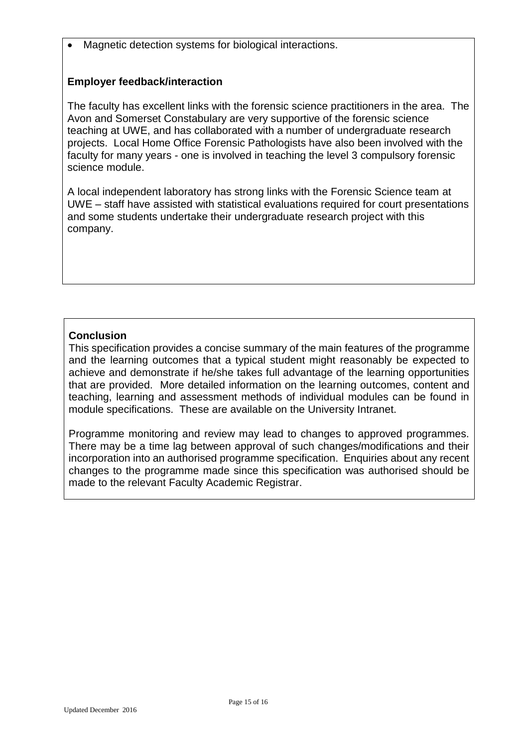Magnetic detection systems for biological interactions.

### **Employer feedback/interaction**

The faculty has excellent links with the forensic science practitioners in the area. The Avon and Somerset Constabulary are very supportive of the forensic science teaching at UWE, and has collaborated with a number of undergraduate research projects. Local Home Office Forensic Pathologists have also been involved with the faculty for many years - one is involved in teaching the level 3 compulsory forensic science module.

A local independent laboratory has strong links with the Forensic Science team at UWE – staff have assisted with statistical evaluations required for court presentations and some students undertake their undergraduate research project with this company.

## **Conclusion**

This specification provides a concise summary of the main features of the programme and the learning outcomes that a typical student might reasonably be expected to achieve and demonstrate if he/she takes full advantage of the learning opportunities that are provided. More detailed information on the learning outcomes, content and teaching, learning and assessment methods of individual modules can be found in module specifications. These are available on the University Intranet.

Programme monitoring and review may lead to changes to approved programmes. There may be a time lag between approval of such changes/modifications and their incorporation into an authorised programme specification. Enquiries about any recent changes to the programme made since this specification was authorised should be made to the relevant Faculty Academic Registrar.